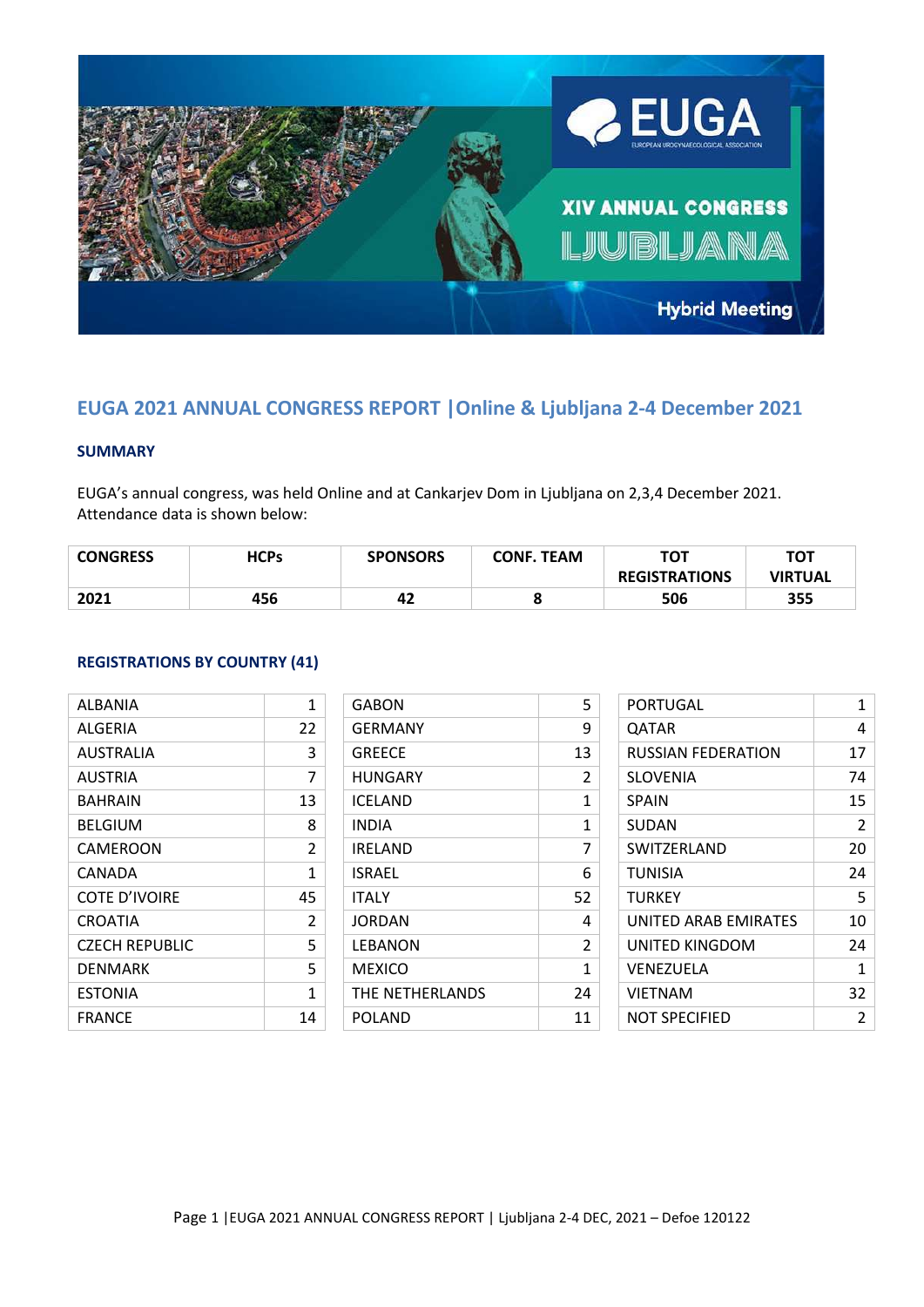

# **EUGA 2021 ANNUAL CONGRESS REPORT |Online & Ljubljana 2-4 December 2021**

## **SUMMARY**

EUGA's annual congress, was held Online and at Cankarjev Dom in Ljubljana on 2,3,4 December 2021. Attendance data is shown below:

| <b>CONGRESS</b> | <b>HCPs</b> | <b>SPONSORS</b> | <b>CONF. TEAM</b> | тот<br><b>REGISTRATIONS</b> | <b>TOT</b><br><b>VIRTUAL</b> |
|-----------------|-------------|-----------------|-------------------|-----------------------------|------------------------------|
| 2021            | 456         | 42              | o                 | 506                         | 355                          |

#### **REGISTRATIONS BY COUNTRY (41)**

| ALBANIA          | 1  |
|------------------|----|
| ALGERIA          | 22 |
| <b>AUSTRALIA</b> | 3  |
| AUSTRIA          | 7  |
| BAHRAIN          | 13 |
| BELGIUM          | 8  |
| CAMEROON         | 2  |
| CANADA           | 1  |
| COTE D'IVOIRE    | 45 |
| CROATIA          | 2  |
| CZECH REPUBLIC   | 5  |
| DENMARK          | 5  |
| <b>ESTONIA</b>   | 1  |
| FRANCE           | 14 |

| GABON           | 5              |
|-----------------|----------------|
| <b>GERMANY</b>  | 9              |
| <b>GREECE</b>   | 13             |
| HUNGARY         | 2              |
| ICELAND         | 1              |
| INDIA           | 1              |
| IRELAND         | 7              |
| ISRAEL          | 6              |
| ITALY           | 52             |
| <b>JORDAN</b>   | 4              |
| LEBANON         | $\mathfrak{p}$ |
| MEXICO          | 1              |
| THE NETHERLANDS | 24             |
| POLAND          | 11             |

| PORTUGAL             | 1              |
|----------------------|----------------|
| QATAR                | 4              |
| RUSSIAN FEDERATION   | 17             |
| SLOVENIA             | 74             |
| <b>SPAIN</b>         | 15             |
| SUDAN                | $\mathfrak{p}$ |
| <b>SWITZERLAND</b>   | 20             |
| <b>TUNISIA</b>       | 24             |
| <b>TURKEY</b>        | 5              |
| UNITED ARAB EMIRATES | 10             |
| UNITED KINGDOM       | 24             |
| <b>VENEZUELA</b>     | 1              |
| <b>VIETNAM</b>       | 32             |
| NOT SPECIFIED        | 2              |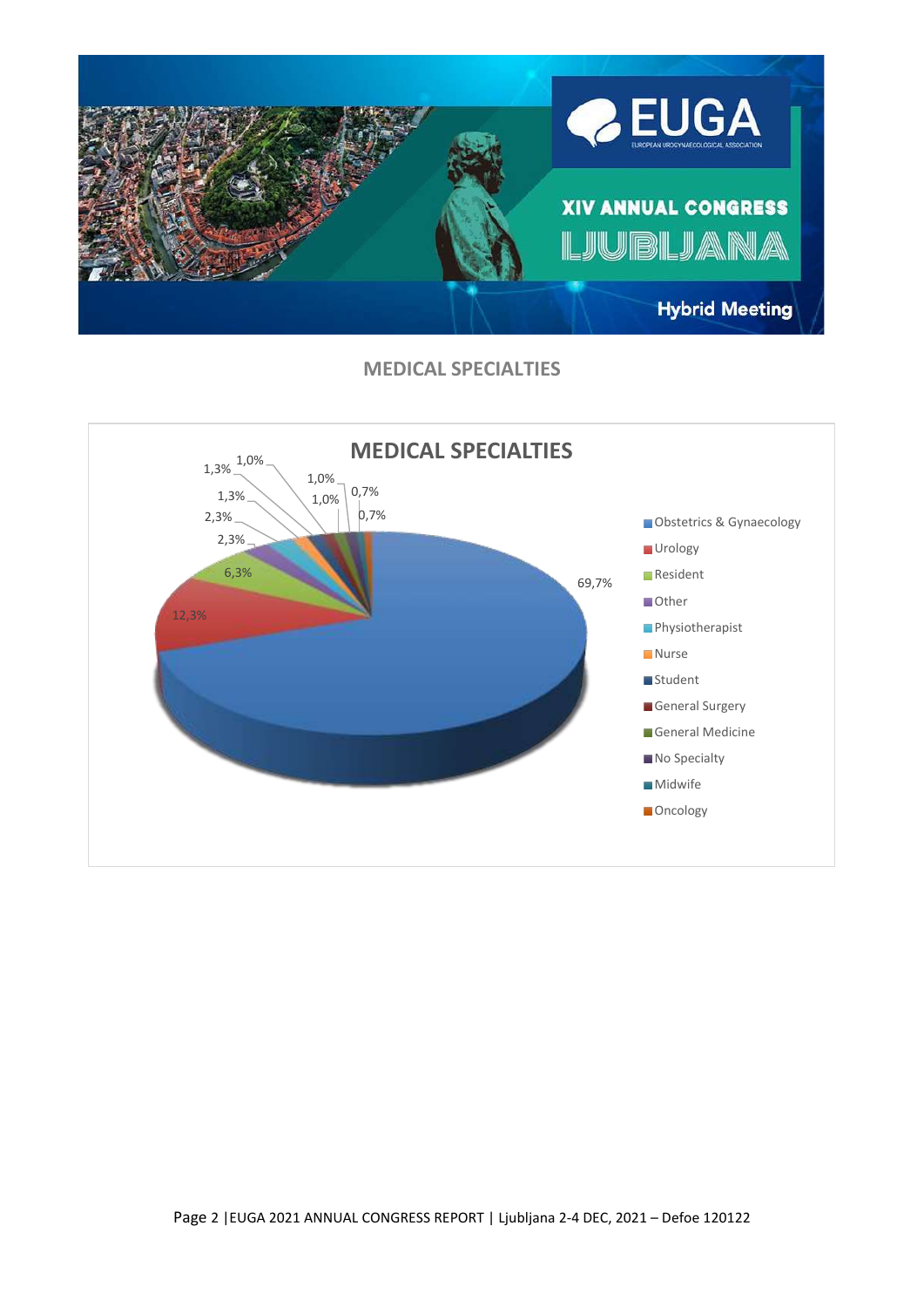

**MEDICAL SPECIALTIES**

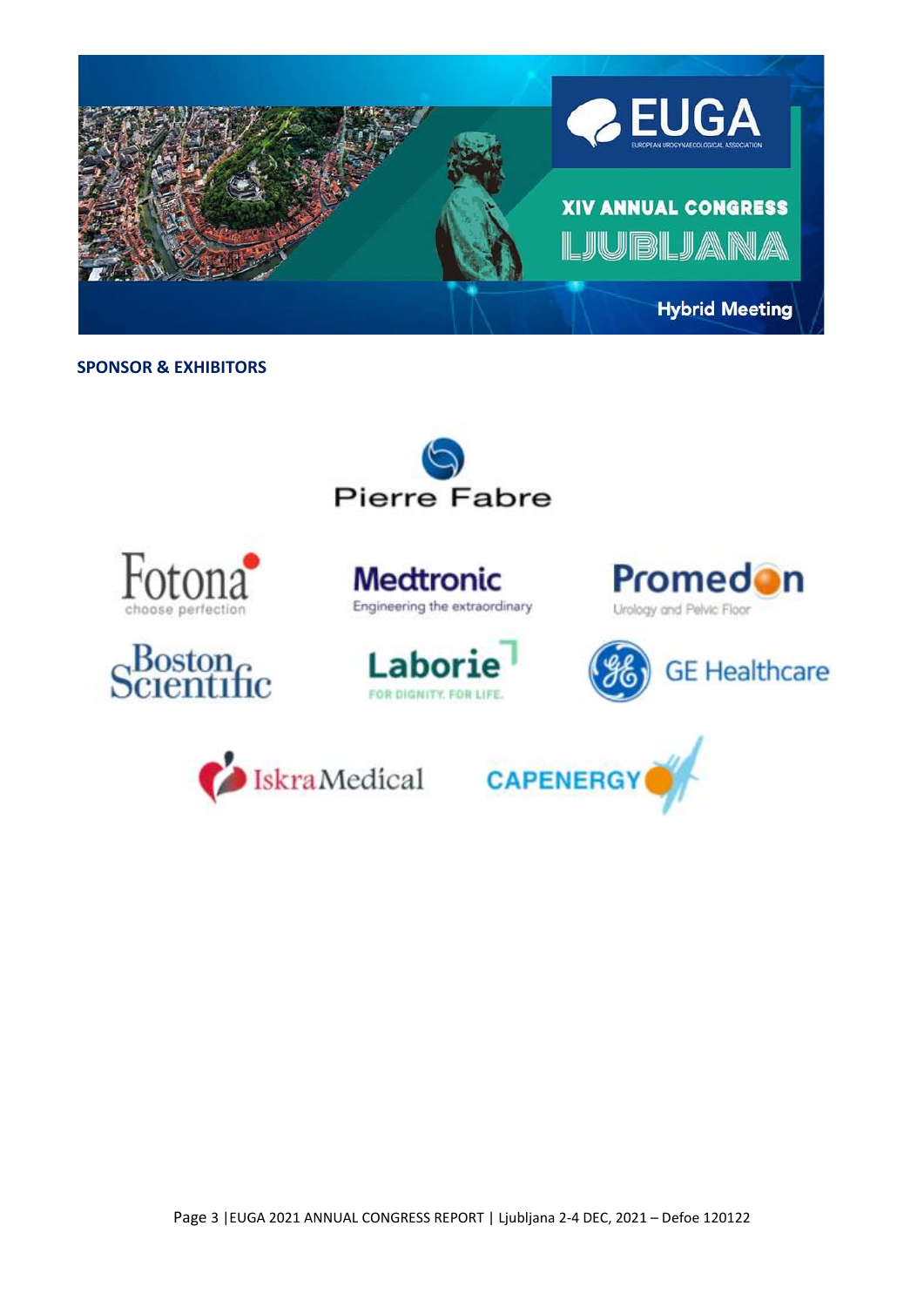

# **SPONSOR & EXHIBITORS**

















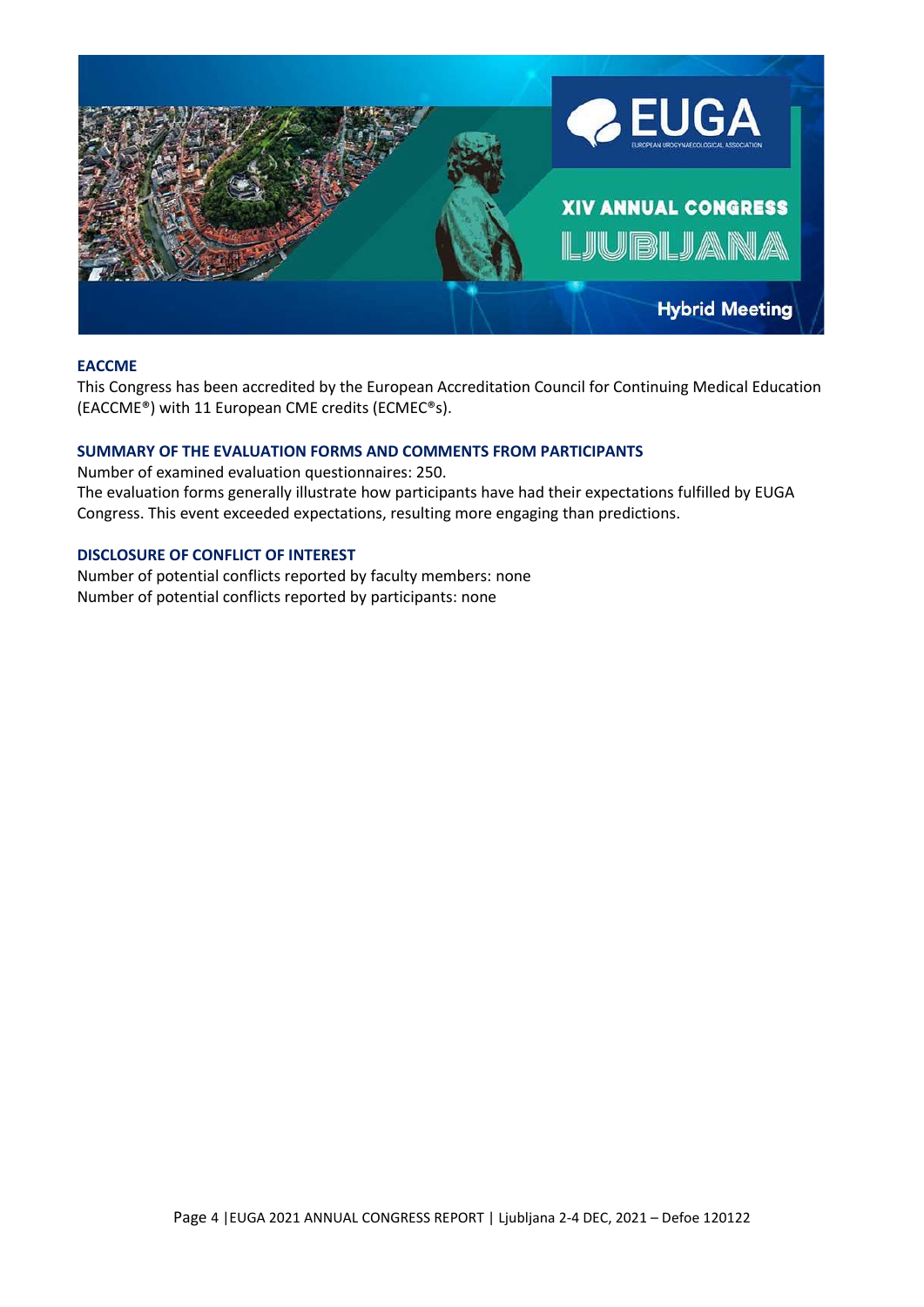

#### **EACCME**

This Congress has been accredited by the European Accreditation Council for Continuing Medical Education (EACCME®) with 11 European CME credits (ECMEC®s).

# **SUMMARY OF THE EVALUATION FORMS AND COMMENTS FROM PARTICIPANTS**

Number of examined evaluation questionnaires: 250. The evaluation forms generally illustrate how participants have had their expectations fulfilled by EUGA Congress. This event exceeded expectations, resulting more engaging than predictions.

## **DISCLOSURE OF CONFLICT OF INTEREST**

Number of potential conflicts reported by faculty members: none Number of potential conflicts reported by participants: none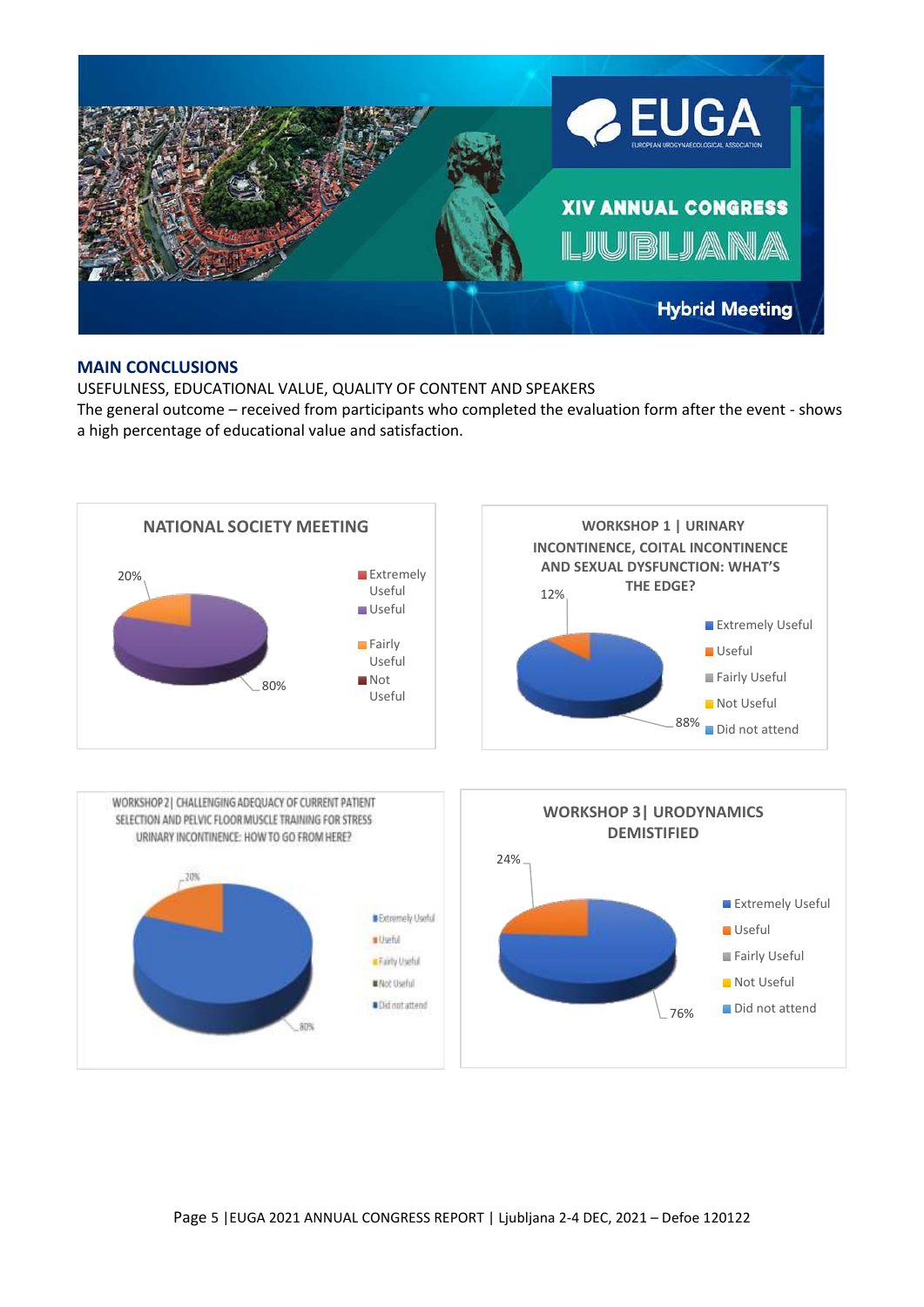

#### **MAIN CONCLUSIONS**

USEFULNESS, EDUCATIONAL VALUE, QUALITY OF CONTENT AND SPEAKERS The general outcome – received from participants who completed the evaluation form after the event - shows a high percentage of educational value and satisfaction.

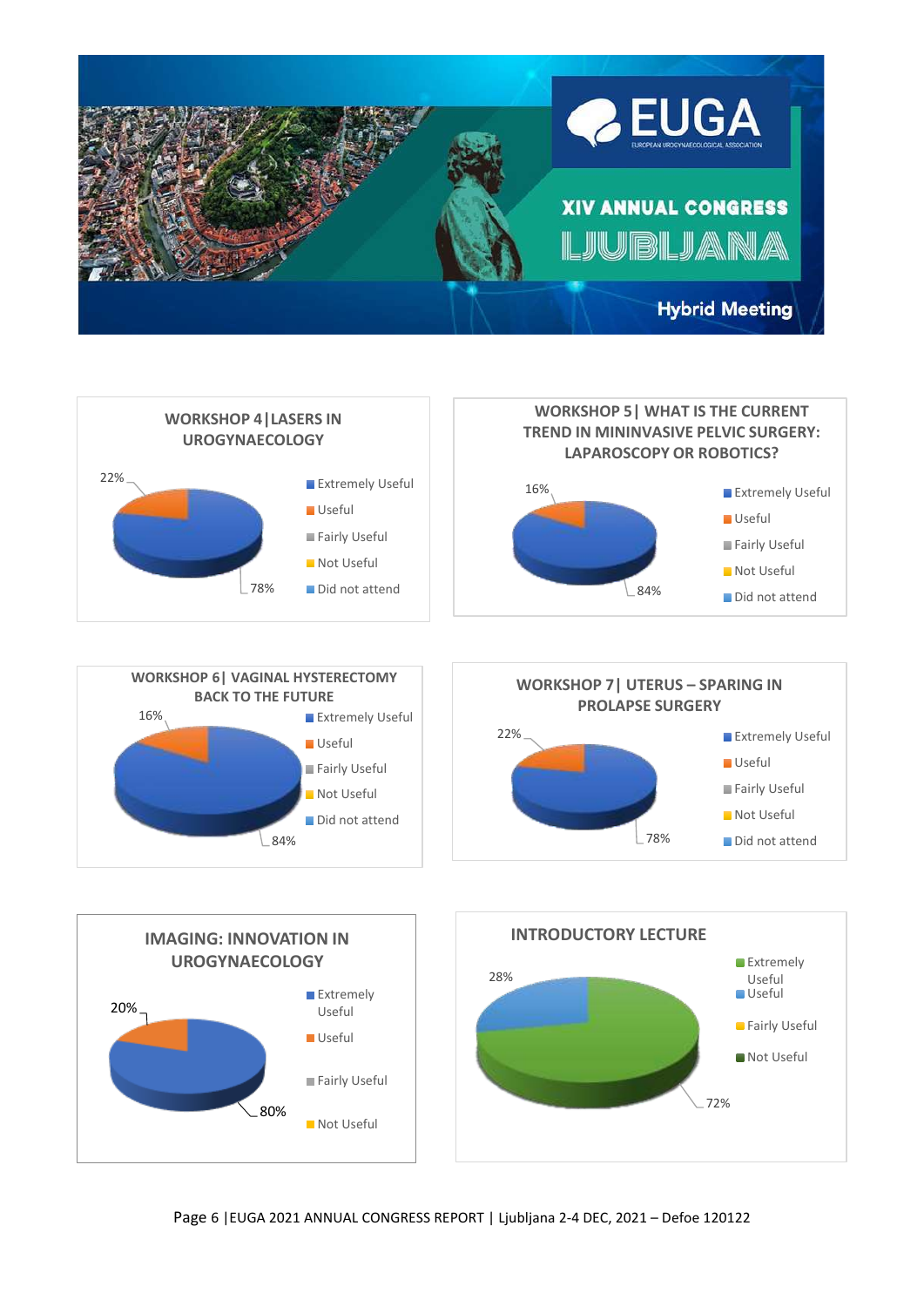





78%

Fairly Useful **Not Useful** Did not attend

84%

Not Useful Did not attend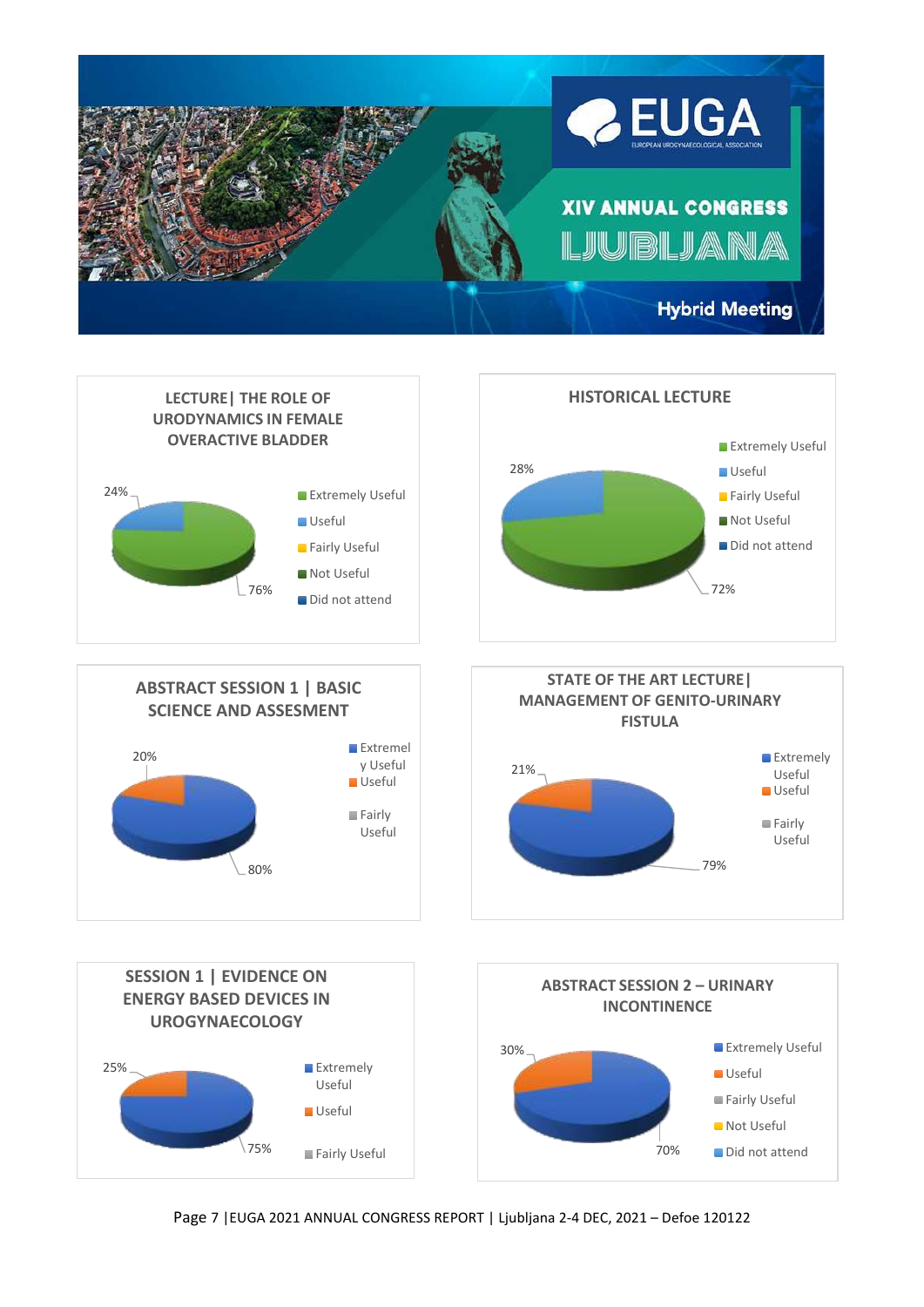



Page 7 |EUGA 2021 ANNUAL CONGRESS REPORT | Ljubljana 2-4 DEC, 2021 – Defoe 120122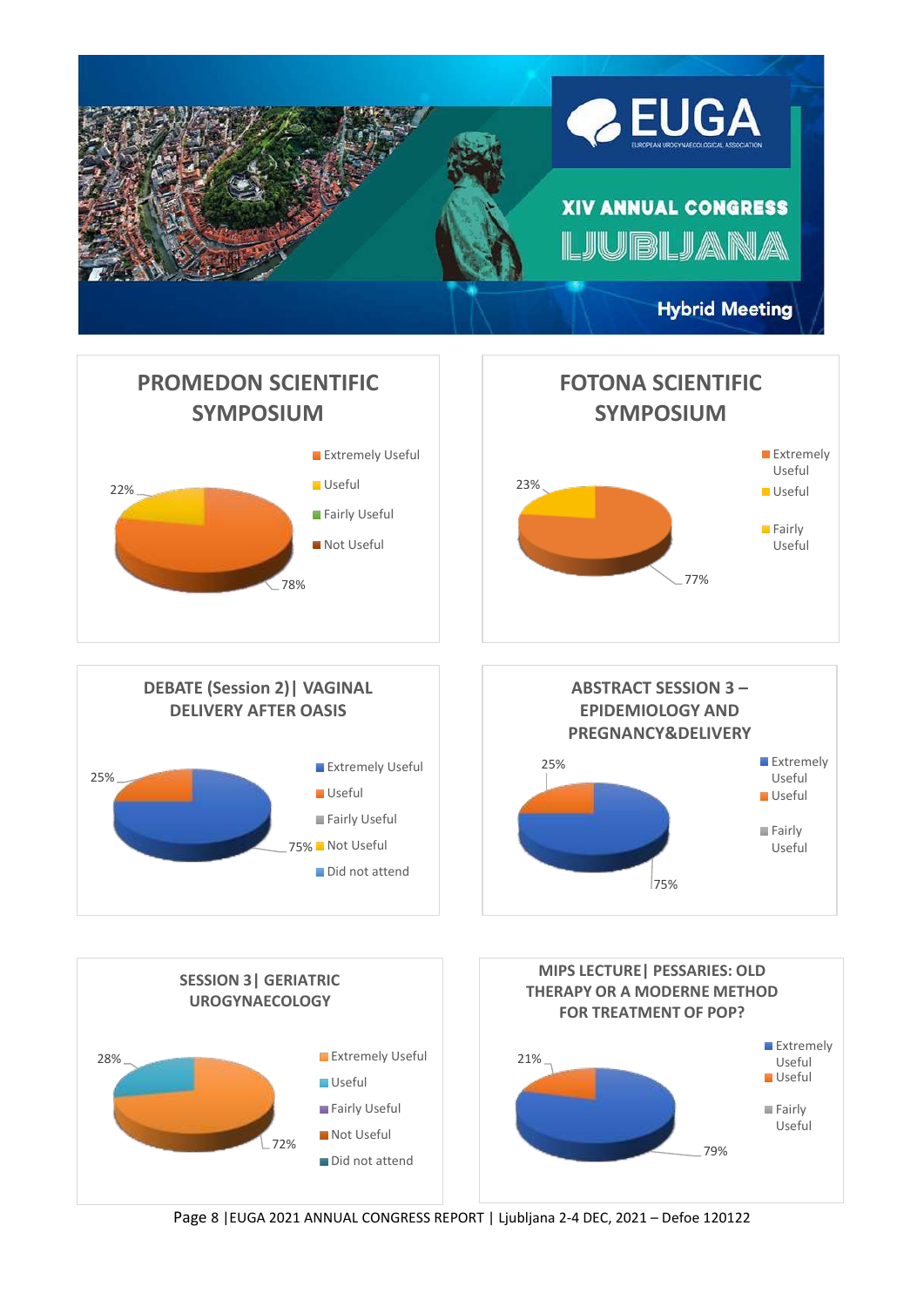

Page 8 |EUGA 2021 ANNUAL CONGRESS REPORT | Ljubljana 2-4 DEC, 2021 – Defoe 120122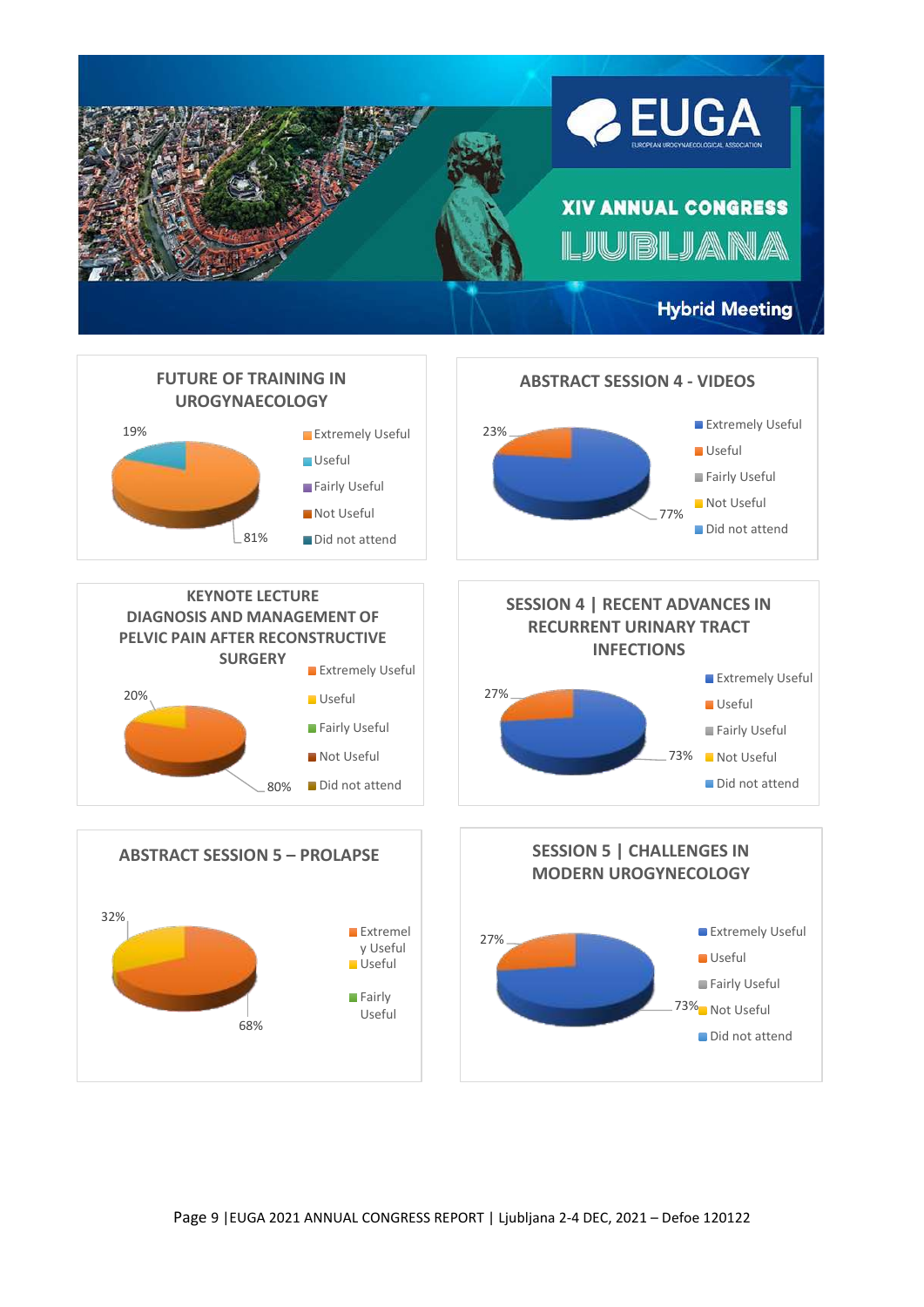



Page 9 |EUGA 2021 ANNUAL CONGRESS REPORT | Ljubljana 2-4 DEC, 2021 – Defoe 120122

68%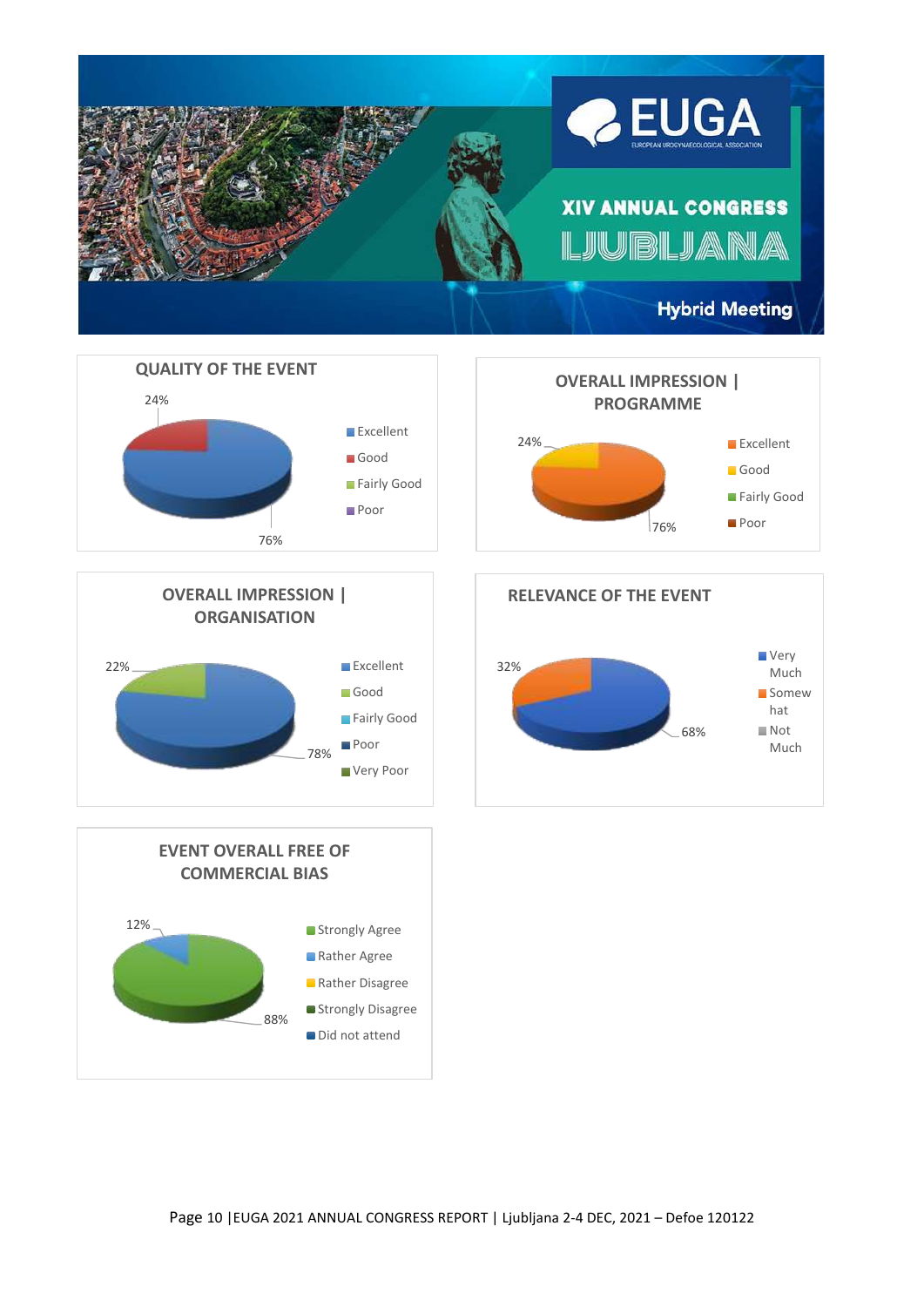





88% 12% **EVENT OVERALL FREE OF COMMERCIAL BIAS** Strongly Agree Rather Agree **Rather Disagree** Strongly Disagree Did not attend



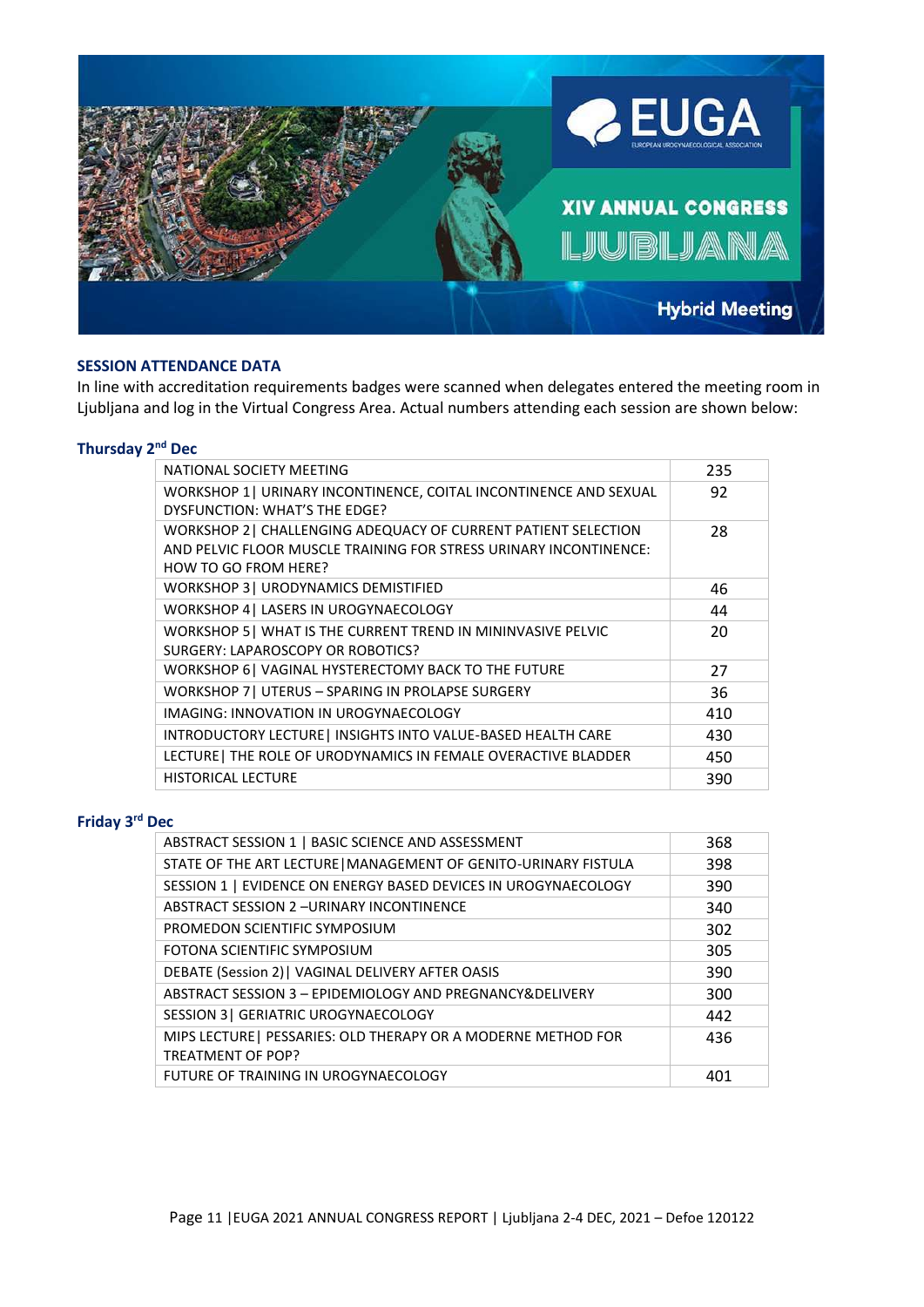

## **SESSION ATTENDANCE DATA**

In line with accreditation requirements badges were scanned when delegates entered the meeting room in Ljubljana and log in the Virtual Congress Area. Actual numbers attending each session are shown below:

#### **Thursday 2 nd Dec**

| NATIONAL SOCIETY MEETING                                                                                                                                    | 235 |
|-------------------------------------------------------------------------------------------------------------------------------------------------------------|-----|
| WORKSHOP 1   URINARY INCONTINENCE, COITAL INCONTINENCE AND SEXUAL<br>DYSFUNCTION: WHAT'S THE EDGE?                                                          | 92  |
| WORKSHOP 2   CHALLENGING ADEQUACY OF CURRENT PATIENT SELECTION<br>AND PELVIC FLOOR MUSCLE TRAINING FOR STRESS URINARY INCONTINENCE:<br>HOW TO GO FROM HERE? | 28  |
| WORKSHOP 3   URODYNAMICS DEMISTIFIED                                                                                                                        | 46  |
| WORKSHOP 4   LASERS IN UROGYNAECOLOGY                                                                                                                       | 44  |
| WORKSHOP 5   WHAT IS THE CURRENT TREND IN MININVASIVE PELVIC<br>SURGERY: LAPAROSCOPY OR ROBOTICS?                                                           | 20  |
| WORKSHOP 6   VAGINAL HYSTERECTOMY BACK TO THE FUTURE                                                                                                        | 27  |
| WORKSHOP 7   UTERUS - SPARING IN PROLAPSE SURGERY                                                                                                           | 36  |
| IMAGING: INNOVATION IN UROGYNAECOLOGY                                                                                                                       | 410 |
| INTRODUCTORY LECTURE   INSIGHTS INTO VALUE-BASED HEALTH CARE                                                                                                | 430 |
| LECTURE   THE ROLE OF URODYNAMICS IN FEMALE OVERACTIVE BLADDER                                                                                              | 450 |
| <b>HISTORICAL LECTURE</b>                                                                                                                                   | 390 |

#### **Friday 3 rd Dec**

| ABSTRACT SESSION 1   BASIC SCIENCE AND ASSESSMENT               | 368 |
|-----------------------------------------------------------------|-----|
| STATE OF THE ART LECTURE   MANAGEMENT OF GENITO-URINARY FISTULA | 398 |
| SESSION 1   EVIDENCE ON ENERGY BASED DEVICES IN UROGYNAECOLOGY  | 390 |
| <b>ABSTRACT SESSION 2-URINARY INCONTINENCE</b>                  | 340 |
| PROMEDON SCIENTIFIC SYMPOSIUM                                   | 302 |
| FOTONA SCIENTIFIC SYMPOSIUM                                     | 305 |
| DEBATE (Session 2)   VAGINAL DELIVERY AFTER OASIS               | 390 |
| ABSTRACT SESSION 3 - EPIDEMIOLOGY AND PREGNANCY&DELIVERY        | 300 |
| SESSION 3   GERIATRIC UROGYNAECOLOGY                            | 442 |
| MIPS LECTURE   PESSARIES: OLD THERAPY OR A MODERNE METHOD FOR   | 436 |
| <b>TREATMENT OF POP?</b>                                        |     |
| FUTURE OF TRAINING IN UROGYNAECOLOGY                            | 401 |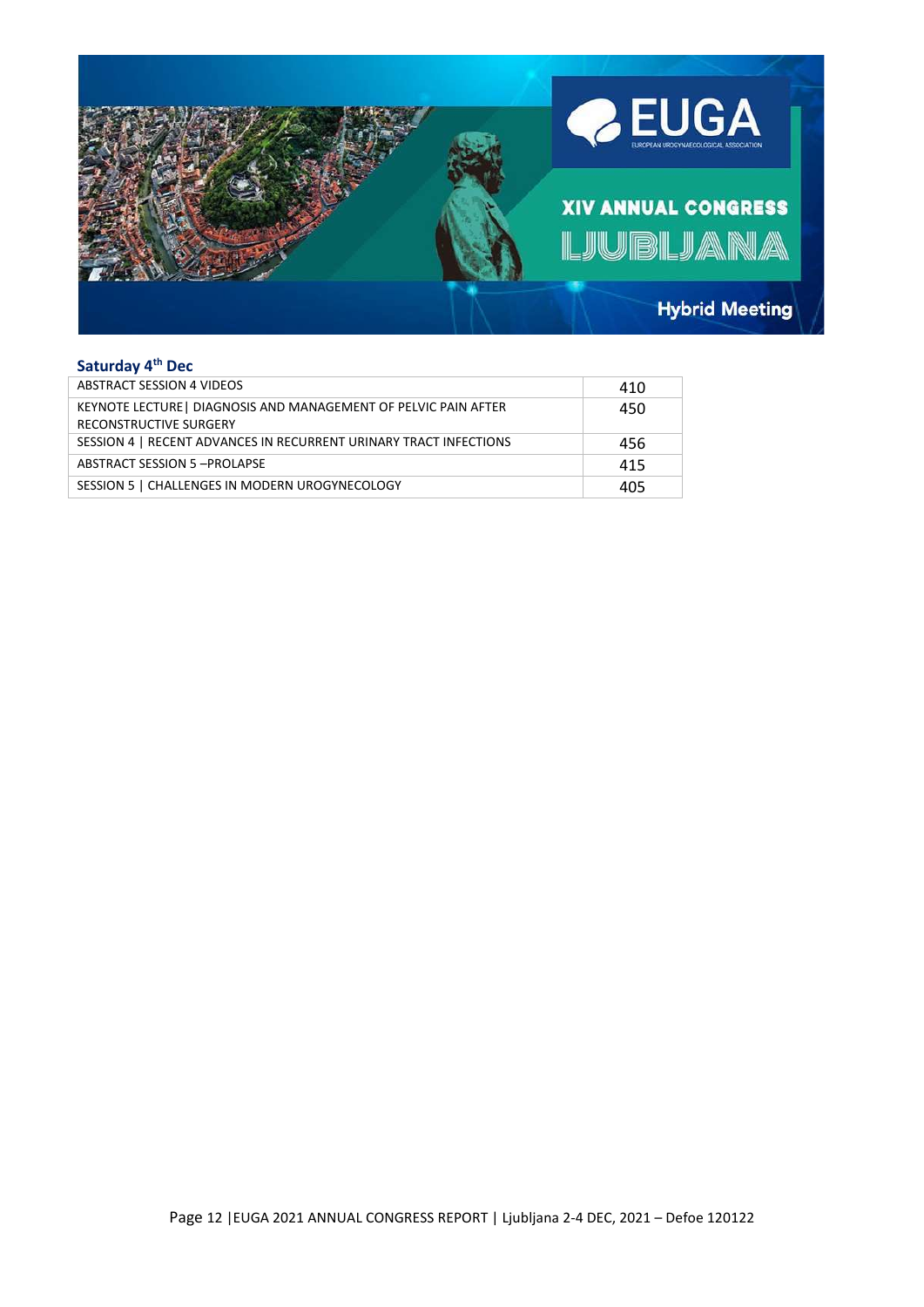

#### **Saturday 4 th Dec**

| <b>ABSTRACT SESSION 4 VIDEOS</b>                                                          | 410 |
|-------------------------------------------------------------------------------------------|-----|
| KEYNOTE LECTURE   DIAGNOSIS AND MANAGEMENT OF PELVIC PAIN AFTER<br>RECONSTRUCTIVE SURGERY | 450 |
| SESSION 4   RECENT ADVANCES IN RECURRENT URINARY TRACT INFECTIONS                         | 456 |
| ABSTRACT SESSION 5-PROLAPSE                                                               | 415 |
| SESSION 5   CHALLENGES IN MODERN UROGYNECOLOGY                                            | 405 |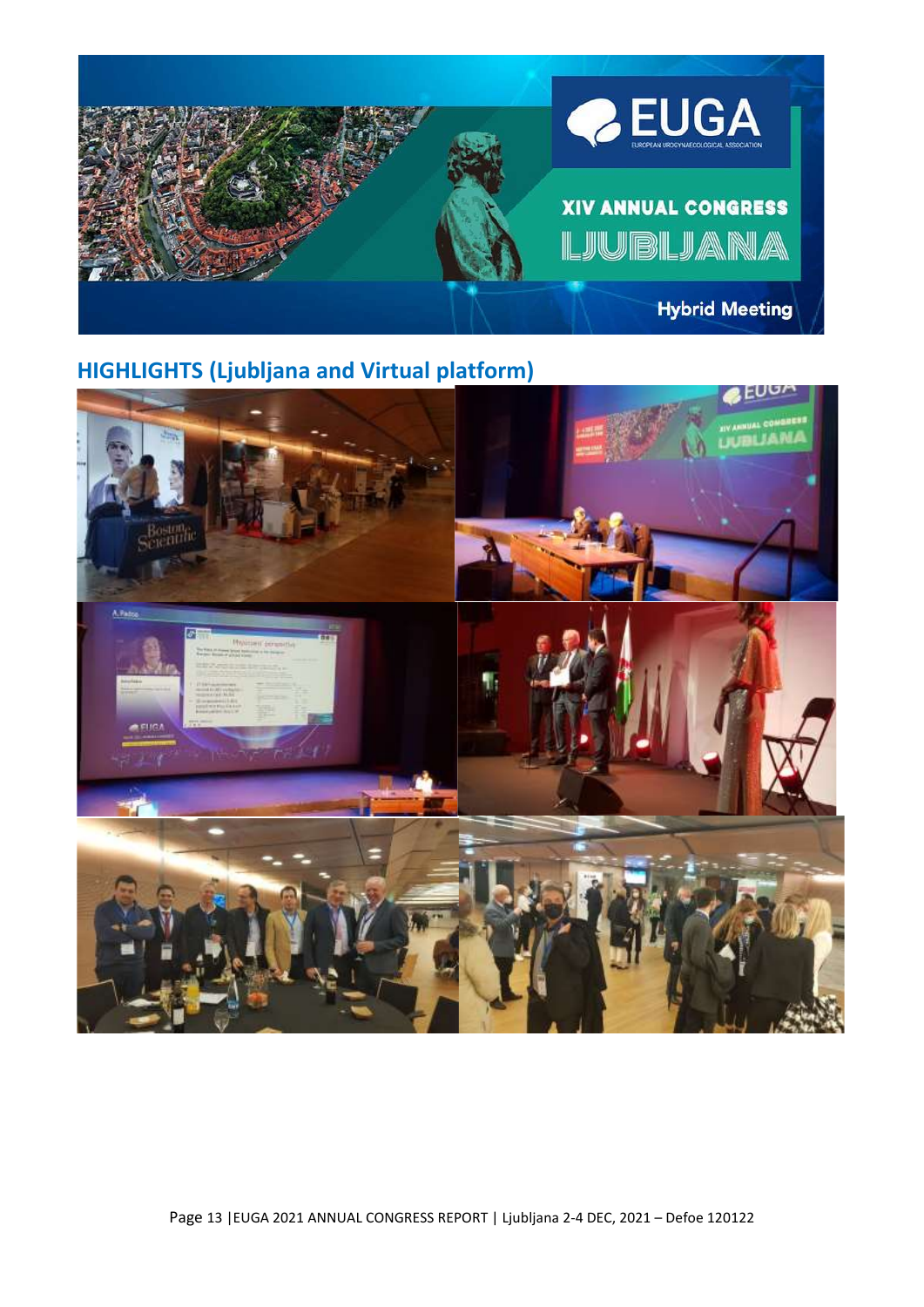

# **HIGHLIGHTS (Ljubljana and Virtual platform)**